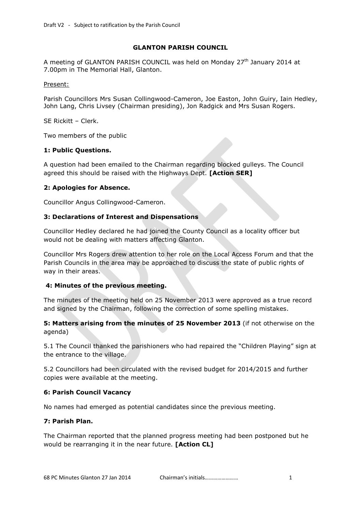#### **GLANTON PARISH COUNCIL**

A meeting of GLANTON PARISH COUNCIL was held on Monday 27<sup>th</sup> January 2014 at 7.00pm in The Memorial Hall, Glanton.

#### Present:

Parish Councillors Mrs Susan Collingwood-Cameron, Joe Easton, John Guiry, Iain Hedley, John Lang, Chris Livsey (Chairman presiding), Jon Radgick and Mrs Susan Rogers.

SE Rickitt – Clerk.

Two members of the public

### **1: Public Questions.**

A question had been emailed to the Chairman regarding blocked gulleys. The Council agreed this should be raised with the Highways Dept. **[Action SER]**

## **2: Apologies for Absence.**

Councillor Angus Collingwood-Cameron.

### **3: Declarations of Interest and Dispensations**

Councillor Hedley declared he had joined the County Council as a locality officer but would not be dealing with matters affecting Glanton.

Councillor Mrs Rogers drew attention to her role on the Local Access Forum and that the Parish Councils in the area may be approached to discuss the state of public rights of way in their areas.

## **4: Minutes of the previous meeting.**

The minutes of the meeting held on 25 November 2013 were approved as a true record and signed by the Chairman, following the correction of some spelling mistakes.

## **5: Matters arising from the minutes of 25 November 2013** (if not otherwise on the agenda)

5.1 The Council thanked the parishioners who had repaired the "Children Playing" sign at the entrance to the village.

5.2 Councillors had been circulated with the revised budget for 2014/2015 and further copies were available at the meeting.

## **6: Parish Council Vacancy**

No names had emerged as potential candidates since the previous meeting.

## **7: Parish Plan.**

The Chairman reported that the planned progress meeting had been postponed but he would be rearranging it in the near future. **[Action CL]**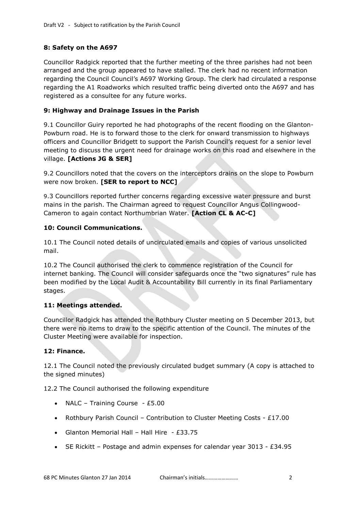# **8: Safety on the A697**

Councillor Radgick reported that the further meeting of the three parishes had not been arranged and the group appeared to have stalled. The clerk had no recent information regarding the Council Council's A697 Working Group. The clerk had circulated a response regarding the A1 Roadworks which resulted traffic being diverted onto the A697 and has registered as a consultee for any future works.

## **9: Highway and Drainage Issues in the Parish**

9.1 Councillor Guiry reported he had photographs of the recent flooding on the Glanton-Powburn road. He is to forward those to the clerk for onward transmission to highways officers and Councillor Bridgett to support the Parish Council's request for a senior level meeting to discuss the urgent need for drainage works on this road and elsewhere in the village. **[Actions JG & SER]**

9.2 Councillors noted that the covers on the interceptors drains on the slope to Powburn were now broken. **[SER to report to NCC]**

9.3 Councillors reported further concerns regarding excessive water pressure and burst mains in the parish. The Chairman agreed to request Councillor Angus Collingwood-Cameron to again contact Northumbrian Water. **[Action CL & AC-C]**

## **10: Council Communications.**

10.1 The Council noted details of uncirculated emails and copies of various unsolicited mail.

10.2 The Council authorised the clerk to commence registration of the Council for internet banking. The Council will consider safeguards once the "two signatures" rule has been modified by the Local Audit & Accountability Bill currently in its final Parliamentary stages.

## **11: Meetings attended.**

Councillor Radgick has attended the Rothbury Cluster meeting on 5 December 2013, but there were no items to draw to the specific attention of the Council. The minutes of the Cluster Meeting were available for inspection.

## **12: Finance.**

12.1 The Council noted the previously circulated budget summary (A copy is attached to the signed minutes)

12.2 The Council authorised the following expenditure

- NALC Training Course  $£5.00$
- Rothbury Parish Council Contribution to Cluster Meeting Costs £17.00
- Glanton Memorial Hall Hall Hire £33.75
- SE Rickitt Postage and admin expenses for calendar year  $3013 £34.95$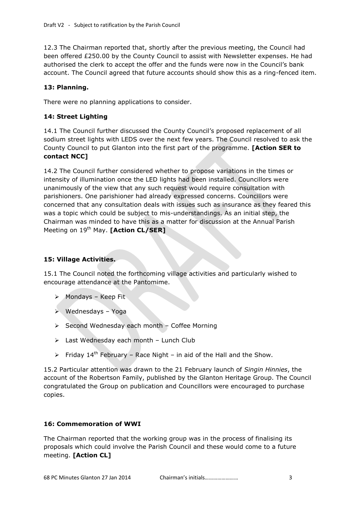12.3 The Chairman reported that, shortly after the previous meeting, the Council had been offered £250.00 by the County Council to assist with Newsletter expenses. He had authorised the clerk to accept the offer and the funds were now in the Council's bank account. The Council agreed that future accounts should show this as a ring-fenced item.

# **13: Planning.**

There were no planning applications to consider.

## **14: Street Lighting**

14.1 The Council further discussed the County Council's proposed replacement of all sodium street lights with LEDS over the next few years. The Council resolved to ask the County Council to put Glanton into the first part of the programme. **[Action SER to contact NCC]**

14.2 The Council further considered whether to propose variations in the times or intensity of illumination once the LED lights had been installed. Councillors were unanimously of the view that any such request would require consultation with parishioners. One parishioner had already expressed concerns. Councillors were concerned that any consultation deals with issues such as insurance as they feared this was a topic which could be subject to mis-understandings. As an initial step, the Chairman was minded to have this as a matter for discussion at the Annual Parish Meeting on 19<sup>th</sup> May. **[Action CL/SER]** 

# **15: Village Activities.**

15.1 The Council noted the forthcoming village activities and particularly wished to encourage attendance at the Pantomime.

- $\triangleright$  Mondays Keep Fit
- $\triangleright$  Wednesdays Yoga
- $\triangleright$  Second Wednesday each month Coffee Morning
- $\triangleright$  Last Wednesday each month Lunch Club
- $\triangleright$  Friday 14<sup>th</sup> February Race Night in aid of the Hall and the Show.

15.2 Particular attention was drawn to the 21 February launch of *Singin Hinnies*, the account of the Robertson Family, published by the Glanton Heritage Group. The Council congratulated the Group on publication and Councillors were encouraged to purchase copies.

## **16: Commemoration of WWI**

The Chairman reported that the working group was in the process of finalising its proposals which could involve the Parish Council and these would come to a future meeting. **[Action CL]**